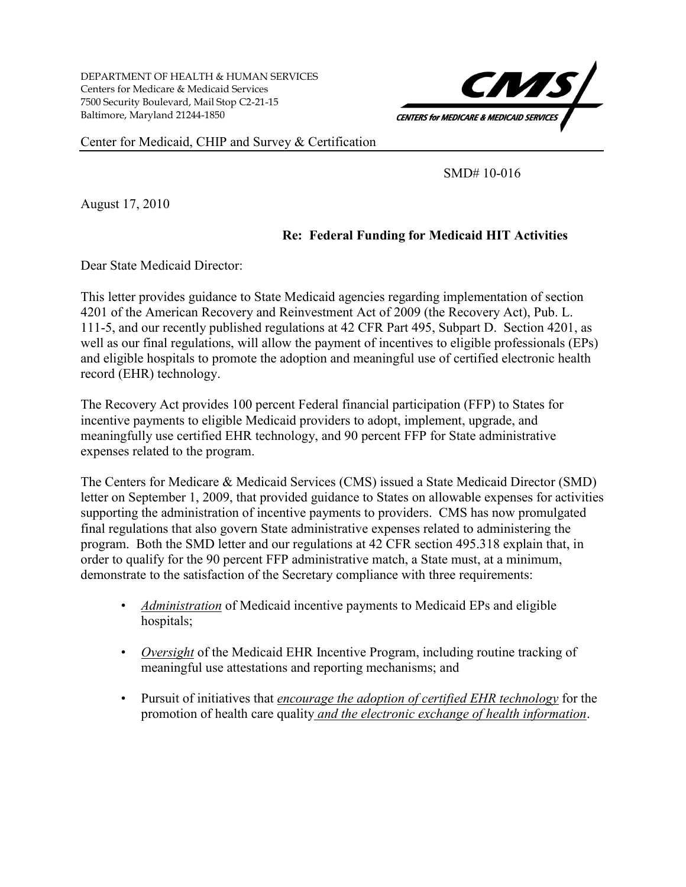DEPARTMENT OF HEALTH & HUMAN SERVICES Centers for Medicare & Medicaid Services 7500 Security Boulevard, Mail Stop C2-21-15 Baltimore, Maryland 21244-1850



Center for Medicaid, CHIP and Survey & Certification

SMD# 10-016

August 17, 2010

## **Re: Federal Funding for Medicaid HIT Activities**

Dear State Medicaid Director:

This letter provides guidance to State Medicaid agencies regarding implementation of section 4201 of the American Recovery and Reinvestment Act of 2009 (the Recovery Act), Pub. L. 111-5, and our recently published regulations at 42 CFR Part 495, Subpart D. Section 4201, as well as our final regulations, will allow the payment of incentives to eligible professionals (EPs) and eligible hospitals to promote the adoption and meaningful use of certified electronic health record (EHR) technology.

The Recovery Act provides 100 percent Federal financial participation (FFP) to States for incentive payments to eligible Medicaid providers to adopt, implement, upgrade, and meaningfully use certified EHR technology, and 90 percent FFP for State administrative expenses related to the program.

The Centers for Medicare & Medicaid Services (CMS) issued a State Medicaid Director (SMD) letter on September 1, 2009, that provided guidance to States on allowable expenses for activities supporting the administration of incentive payments to providers. CMS has now promulgated final regulations that also govern State administrative expenses related to administering the program. Both the SMD letter and our regulations at 42 CFR section 495.318 explain that, in order to qualify for the 90 percent FFP administrative match, a State must, at a minimum, demonstrate to the satisfaction of the Secretary compliance with three requirements:

- *Administration* of Medicaid incentive payments to Medicaid EPs and eligible hospitals;
- *Oversight* of the Medicaid EHR Incentive Program, including routine tracking of meaningful use attestations and reporting mechanisms; and
- Pursuit of initiatives that *encourage the adoption of certified EHR technology* for the promotion of health care quality *and the electronic exchange of health information*.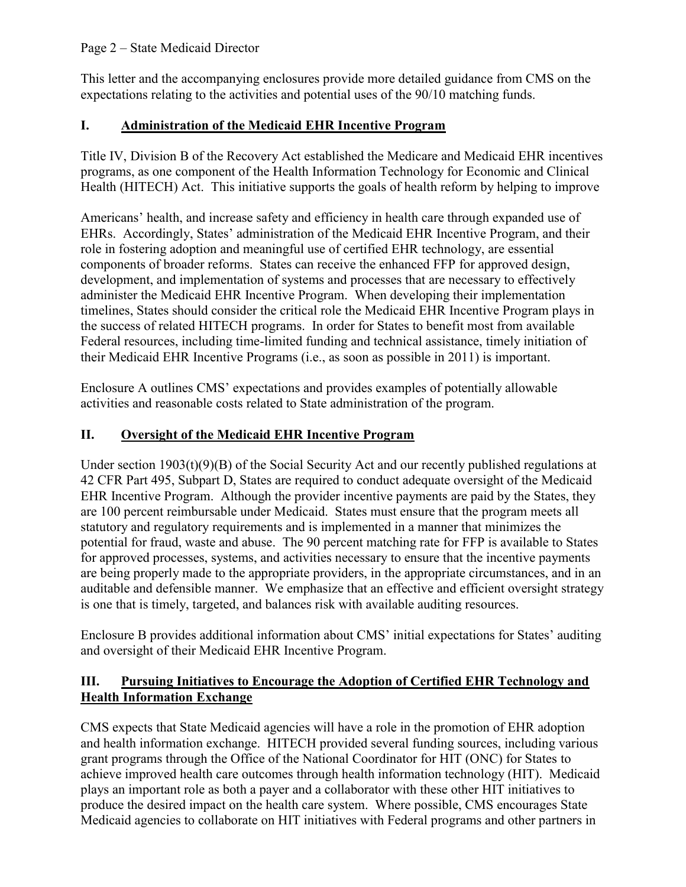### Page 2 – State Medicaid Director

This letter and the accompanying enclosures provide more detailed guidance from CMS on the expectations relating to the activities and potential uses of the 90/10 matching funds.

# **I. Administration of the Medicaid EHR Incentive Program**

Title IV, Division B of the Recovery Act established the Medicare and Medicaid EHR incentives programs, as one component of the Health Information Technology for Economic and Clinical Health (HITECH) Act. This initiative supports the goals of health reform by helping to improve

Americans' health, and increase safety and efficiency in health care through expanded use of EHRs. Accordingly, States' administration of the Medicaid EHR Incentive Program, and their role in fostering adoption and meaningful use of certified EHR technology, are essential components of broader reforms. States can receive the enhanced FFP for approved design, development, and implementation of systems and processes that are necessary to effectively administer the Medicaid EHR Incentive Program. When developing their implementation timelines, States should consider the critical role the Medicaid EHR Incentive Program plays in the success of related HITECH programs. In order for States to benefit most from available Federal resources, including time-limited funding and technical assistance, timely initiation of their Medicaid EHR Incentive Programs (i.e., as soon as possible in 2011) is important.

Enclosure A outlines CMS' expectations and provides examples of potentially allowable activities and reasonable costs related to State administration of the program.

# **II. Oversight of the Medicaid EHR Incentive Program**

Under section  $1903(t)(9)(B)$  of the Social Security Act and our recently published regulations at 42 CFR Part 495, Subpart D, States are required to conduct adequate oversight of the Medicaid EHR Incentive Program. Although the provider incentive payments are paid by the States, they are 100 percent reimbursable under Medicaid. States must ensure that the program meets all statutory and regulatory requirements and is implemented in a manner that minimizes the potential for fraud, waste and abuse. The 90 percent matching rate for FFP is available to States for approved processes, systems, and activities necessary to ensure that the incentive payments are being properly made to the appropriate providers, in the appropriate circumstances, and in an auditable and defensible manner. We emphasize that an effective and efficient oversight strategy is one that is timely, targeted, and balances risk with available auditing resources.

Enclosure B provides additional information about CMS' initial expectations for States' auditing and oversight of their Medicaid EHR Incentive Program.

## **III. Pursuing Initiatives to Encourage the Adoption of Certified EHR Technology and Health Information Exchange**

CMS expects that State Medicaid agencies will have a role in the promotion of EHR adoption and health information exchange. HITECH provided several funding sources, including various grant programs through the Office of the National Coordinator for HIT (ONC) for States to achieve improved health care outcomes through health information technology (HIT). Medicaid plays an important role as both a payer and a collaborator with these other HIT initiatives to produce the desired impact on the health care system. Where possible, CMS encourages State Medicaid agencies to collaborate on HIT initiatives with Federal programs and other partners in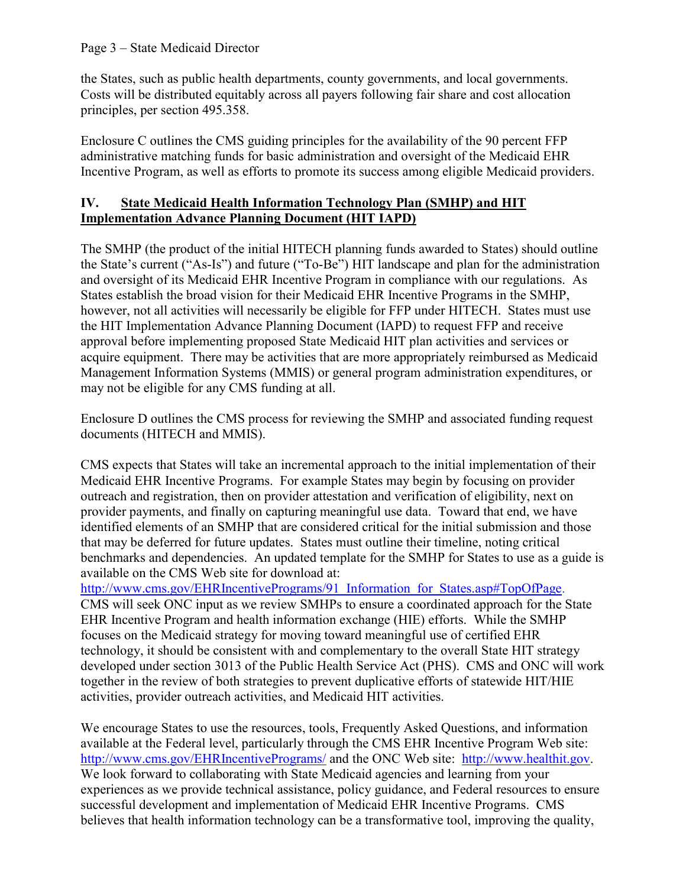#### Page 3 – State Medicaid Director

the States, such as public health departments, county governments, and local governments. Costs will be distributed equitably across all payers following fair share and cost allocation principles, per section 495.358.

Enclosure C outlines the CMS guiding principles for the availability of the 90 percent FFP administrative matching funds for basic administration and oversight of the Medicaid EHR Incentive Program, as well as efforts to promote its success among eligible Medicaid providers.

### **IV. State Medicaid Health Information Technology Plan (SMHP) and HIT Implementation Advance Planning Document (HIT IAPD)**

The SMHP (the product of the initial HITECH planning funds awarded to States) should outline the State's current ("As-Is") and future ("To-Be") HIT landscape and plan for the administration and oversight of its Medicaid EHR Incentive Program in compliance with our regulations. As States establish the broad vision for their Medicaid EHR Incentive Programs in the SMHP, however, not all activities will necessarily be eligible for FFP under HITECH. States must use the HIT Implementation Advance Planning Document (IAPD) to request FFP and receive approval before implementing proposed State Medicaid HIT plan activities and services or acquire equipment. There may be activities that are more appropriately reimbursed as Medicaid Management Information Systems (MMIS) or general program administration expenditures, or may not be eligible for any CMS funding at all.

Enclosure D outlines the CMS process for reviewing the SMHP and associated funding request documents (HITECH and MMIS).

CMS expects that States will take an incremental approach to the initial implementation of their Medicaid EHR Incentive Programs. For example States may begin by focusing on provider outreach and registration, then on provider attestation and verification of eligibility, next on provider payments, and finally on capturing meaningful use data. Toward that end, we have identified elements of an SMHP that are considered critical for the initial submission and those that may be deferred for future updates. States must outline their timeline, noting critical benchmarks and dependencies. An updated template for the SMHP for States to use as a guide is available on the CMS Web site for download at:

[http://www.cms.gov/EHRIncentivePrograms/91\\_Information\\_for\\_States.asp#TopOfPage.](http://www.cms.gov/EHRIncentivePrograms/91_Information_for_States.asp#TopOfPage)

CMS will seek ONC input as we review SMHPs to ensure a coordinated approach for the State EHR Incentive Program and health information exchange (HIE) efforts. While the SMHP focuses on the Medicaid strategy for moving toward meaningful use of certified EHR technology, it should be consistent with and complementary to the overall State HIT strategy developed under section 3013 of the Public Health Service Act (PHS). CMS and ONC will work together in the review of both strategies to prevent duplicative efforts of statewide HIT/HIE activities, provider outreach activities, and Medicaid HIT activities.

We encourage States to use the resources, tools, Frequently Asked Questions, and information available at the Federal level, particularly through the CMS EHR Incentive Program Web site: <http://www.cms.gov/EHRIncentivePrograms/> and the ONC Web site: [http://www.healthit.gov.](http://www.healthit.gov/) We look forward to collaborating with State Medicaid agencies and learning from your experiences as we provide technical assistance, policy guidance, and Federal resources to ensure successful development and implementation of Medicaid EHR Incentive Programs. CMS believes that health information technology can be a transformative tool, improving the quality,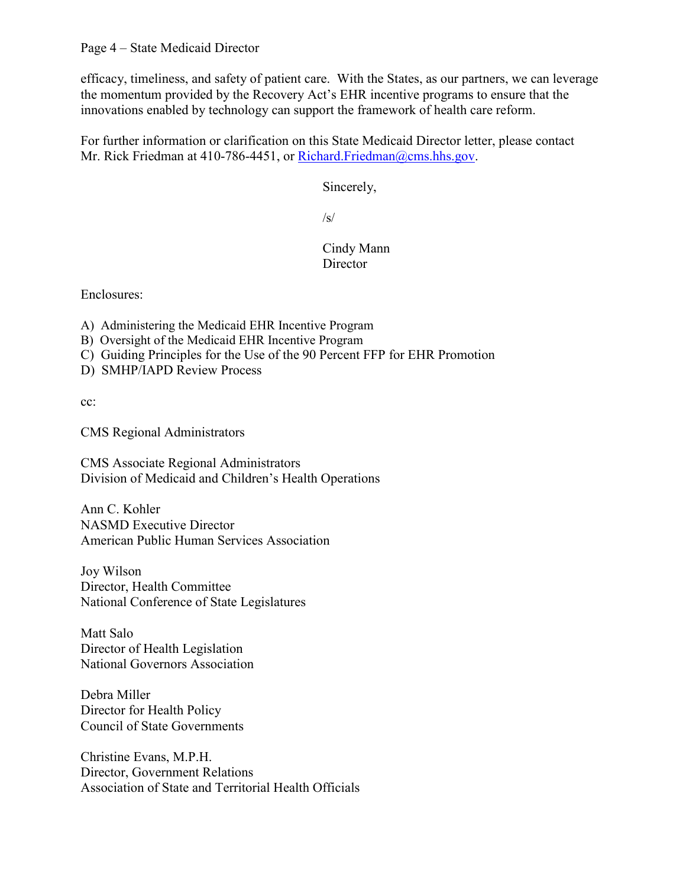efficacy, timeliness, and safety of patient care. With the States, as our partners, we can leverage the momentum provided by the Recovery Act's EHR incentive programs to ensure that the innovations enabled by technology can support the framework of health care reform.

For further information or clarification on this State Medicaid Director letter, please contact Mr. Rick Friedman at 410-786-4451, or [Richard.Friedman@cms.hhs.gov.](mailto:Richard.Friedman@cms.hhs.gov)

Sincerely,

 $\sqrt{s/2}$ 

## Cindy Mann **Director**

Enclosures:

A) Administering the Medicaid EHR Incentive Program

- B) Oversight of the Medicaid EHR Incentive Program
- C) Guiding Principles for the Use of the 90 Percent FFP for EHR Promotion

D) SMHP/IAPD Review Process

cc:

CMS Regional Administrators

CMS Associate Regional Administrators Division of Medicaid and Children's Health Operations

Ann C. Kohler NASMD Executive Director American Public Human Services Association

Joy Wilson Director, Health Committee National Conference of State Legislatures

Matt Salo Director of Health Legislation National Governors Association

Debra Miller Director for Health Policy Council of State Governments

Christine Evans, M.P.H. Director, Government Relations Association of State and Territorial Health Officials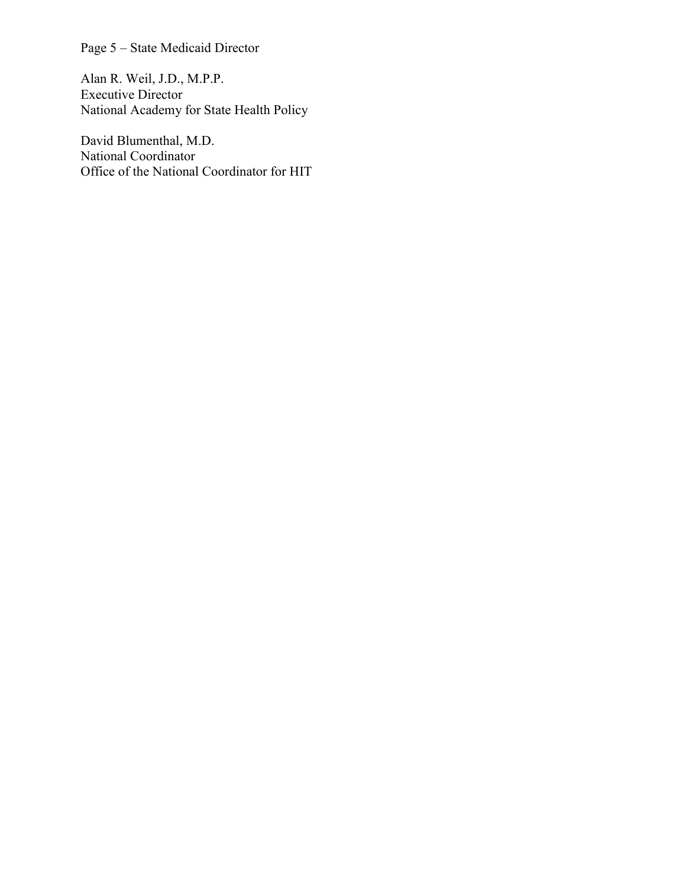Page 5 – State Medicaid Director

Alan R. Weil, J.D., M.P.P. Executive Director National Academy for State Health Policy

David Blumenthal, M.D. National Coordinator Office of the National Coordinator for HIT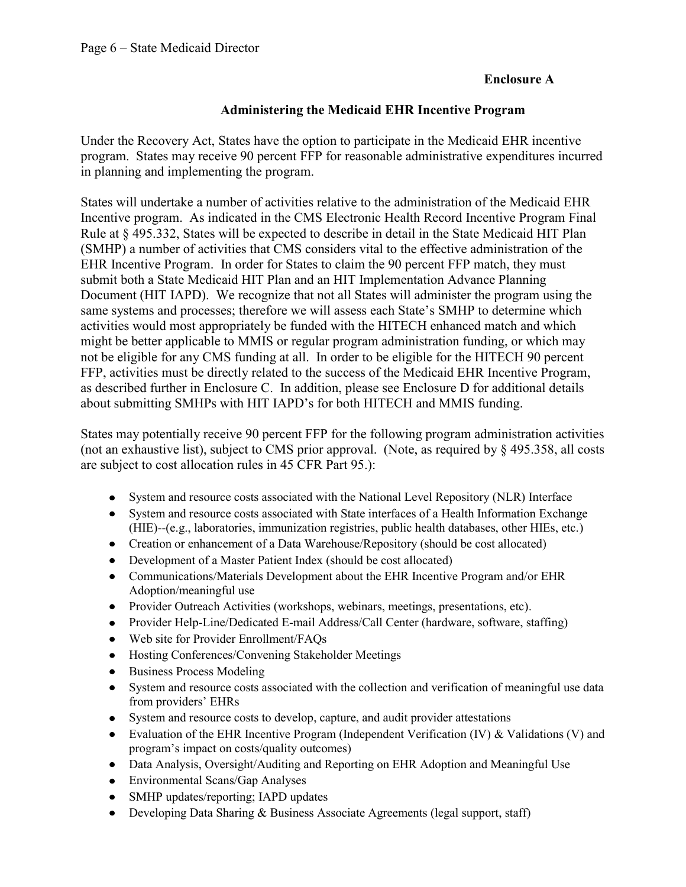### **Enclosure A**

### **Administering the Medicaid EHR Incentive Program**

Under the Recovery Act, States have the option to participate in the Medicaid EHR incentive program. States may receive 90 percent FFP for reasonable administrative expenditures incurred in planning and implementing the program.

States will undertake a number of activities relative to the administration of the Medicaid EHR Incentive program. As indicated in the CMS Electronic Health Record Incentive Program Final Rule at § 495.332, States will be expected to describe in detail in the State Medicaid HIT Plan (SMHP) a number of activities that CMS considers vital to the effective administration of the EHR Incentive Program. In order for States to claim the 90 percent FFP match, they must submit both a State Medicaid HIT Plan and an HIT Implementation Advance Planning Document (HIT IAPD). We recognize that not all States will administer the program using the same systems and processes; therefore we will assess each State's SMHP to determine which activities would most appropriately be funded with the HITECH enhanced match and which might be better applicable to MMIS or regular program administration funding, or which may not be eligible for any CMS funding at all. In order to be eligible for the HITECH 90 percent FFP, activities must be directly related to the success of the Medicaid EHR Incentive Program, as described further in Enclosure C. In addition, please see Enclosure D for additional details about submitting SMHPs with HIT IAPD's for both HITECH and MMIS funding.

States may potentially receive 90 percent FFP for the following program administration activities (not an exhaustive list), subject to CMS prior approval. (Note, as required by § 495.358, all costs are subject to cost allocation rules in 45 CFR Part 95.):

- $\bullet$ System and resource costs associated with the National Level Repository (NLR) Interface
- System and resource costs associated with State interfaces of a Health Information Exchange (HIE)--(e.g., laboratories, immunization registries, public health databases, other HIEs, etc.)
- Creation or enhancement of a Data Warehouse/Repository (should be cost allocated)
- Development of a Master Patient Index (should be cost allocated)
- Communications/Materials Development about the EHR Incentive Program and/or EHR Adoption/meaningful use
- Provider Outreach Activities (workshops, webinars, meetings, presentations, etc).  $\bullet$
- Provider Help-Line/Dedicated E-mail Address/Call Center (hardware, software, staffing)  $\bullet$
- $\bullet$ Web site for Provider Enrollment/FAQs
- Hosting Conferences/Convening Stakeholder Meetings  $\bullet$
- Business Process Modeling
- System and resource costs associated with the collection and verification of meaningful use data  $\bullet$ from providers' EHRs
- System and resource costs to develop, capture, and audit provider attestations
- Evaluation of the EHR Incentive Program (Independent Verification (IV) & Validations (V) and  $\bullet$ program's impact on costs/quality outcomes)
- Data Analysis, Oversight/Auditing and Reporting on EHR Adoption and Meaningful Use  $\bullet$
- Environmental Scans/Gap Analyses
- SMHP updates/reporting; IAPD updates
- Developing Data Sharing & Business Associate Agreements (legal support, staff)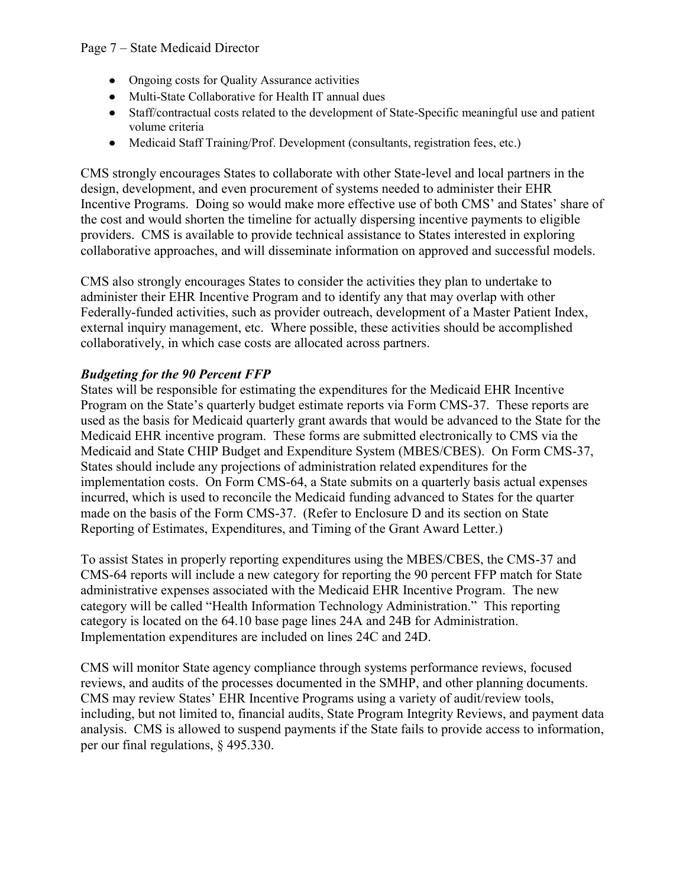- $\bullet$ Ongoing costs for Quality Assurance activities
- Multi-State Collaborative for Health IT annual dues
- Staff/contractual costs related to the development of State-Specific meaningful use and patient  $\bullet$ volume criteria
- Medicaid Staff Training/Prof. Development (consultants, registration fees, etc.)

CMS strongly encourages States to collaborate with other State-level and local partners in the design, development, and even procurement of systems needed to administer their EHR Incentive Programs. Doing so would make more effective use of both CMS' and States' share of the cost and would shorten the timeline for actually dispersing incentive payments to eligible providers. CMS is available to provide technical assistance to States interested in exploring collaborative approaches, and will disseminate information on approved and successful models.

CMS also strongly encourages States to consider the activities they plan to undertake to administer their EHR Incentive Program and to identify any that may overlap with other Federally-funded activities, such as provider outreach, development of a Master Patient Index, external inquiry management, etc. Where possible, these activities should be accomplished collaboratively, in which case costs are allocated across partners.

## *Budgeting for the 90 Percent FFP*

States will be responsible for estimating the expenditures for the Medicaid EHR Incentive Program on the State's quarterly budget estimate reports via Form CMS-37. These reports are used as the basis for Medicaid quarterly grant awards that would be advanced to the State for the Medicaid EHR incentive program. These forms are submitted electronically to CMS via the Medicaid and State CHIP Budget and Expenditure System (MBES/CBES). On Form CMS-37, States should include any projections of administration related expenditures for the implementation costs. On Form CMS-64, a State submits on a quarterly basis actual expenses incurred, which is used to reconcile the Medicaid funding advanced to States for the quarter made on the basis of the Form CMS-37. (Refer to Enclosure D and its section on State Reporting of Estimates, Expenditures, and Timing of the Grant Award Letter.)

To assist States in properly reporting expenditures using the MBES/CBES, the CMS-37 and CMS-64 reports will include a new category for reporting the 90 percent FFP match for State administrative expenses associated with the Medicaid EHR Incentive Program. The new category will be called "Health Information Technology Administration." This reporting category is located on the 64.10 base page lines 24A and 24B for Administration. Implementation expenditures are included on lines 24C and 24D.

CMS will monitor State agency compliance through systems performance reviews, focused reviews, and audits of the processes documented in the SMHP, and other planning documents. CMS may review States' EHR Incentive Programs using a variety of audit/review tools, including, but not limited to, financial audits, State Program Integrity Reviews, and payment data analysis. CMS is allowed to suspend payments if the State fails to provide access to information, per our final regulations, § 495.330.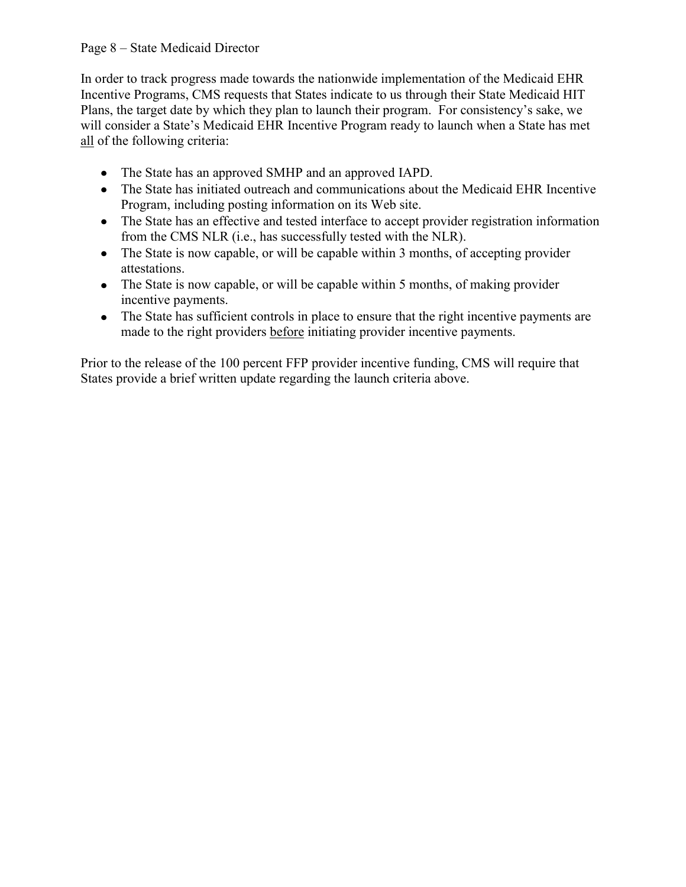#### Page 8 – State Medicaid Director

In order to track progress made towards the nationwide implementation of the Medicaid EHR Incentive Programs, CMS requests that States indicate to us through their State Medicaid HIT Plans, the target date by which they plan to launch their program. For consistency's sake, we will consider a State's Medicaid EHR Incentive Program ready to launch when a State has met all of the following criteria:

- The State has an approved SMHP and an approved IAPD.
- The State has initiated outreach and communications about the Medicaid EHR Incentive Program, including posting information on its Web site.
- The State has an effective and tested interface to accept provider registration information from the CMS NLR (i.e., has successfully tested with the NLR).
- The State is now capable, or will be capable within 3 months, of accepting provider attestations.
- The State is now capable, or will be capable within 5 months, of making provider incentive payments.
- The State has sufficient controls in place to ensure that the right incentive payments are made to the right providers before initiating provider incentive payments.

Prior to the release of the 100 percent FFP provider incentive funding, CMS will require that States provide a brief written update regarding the launch criteria above.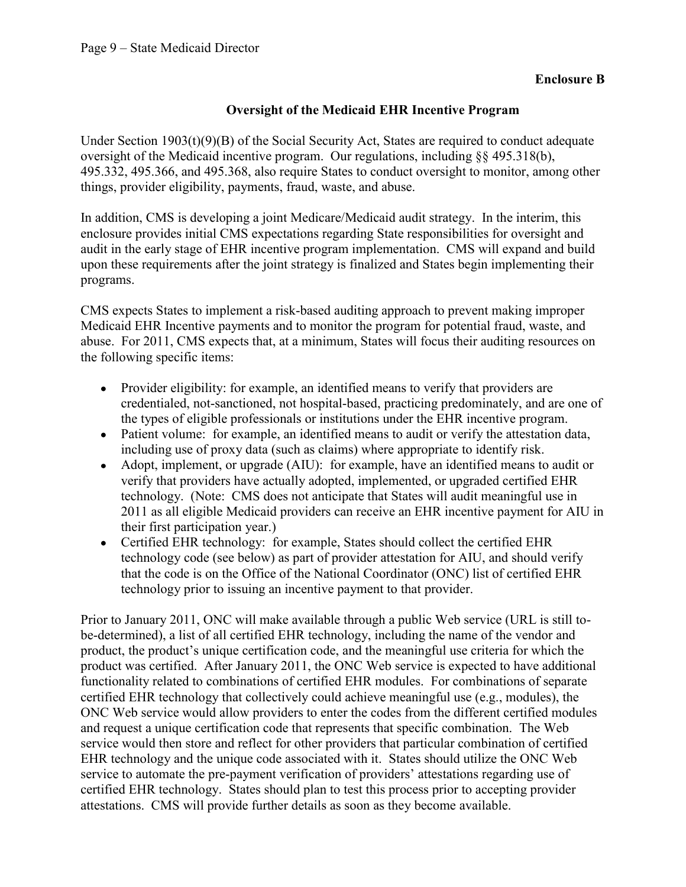### **Oversight of the Medicaid EHR Incentive Program**

Under Section  $1903(t)(9)(B)$  of the Social Security Act, States are required to conduct adequate oversight of the Medicaid incentive program. Our regulations, including §§ 495.318(b), 495.332, 495.366, and 495.368, also require States to conduct oversight to monitor, among other things, provider eligibility, payments, fraud, waste, and abuse.

In addition, CMS is developing a joint Medicare/Medicaid audit strategy. In the interim, this enclosure provides initial CMS expectations regarding State responsibilities for oversight and audit in the early stage of EHR incentive program implementation. CMS will expand and build upon these requirements after the joint strategy is finalized and States begin implementing their programs.

CMS expects States to implement a risk-based auditing approach to prevent making improper Medicaid EHR Incentive payments and to monitor the program for potential fraud, waste, and abuse. For 2011, CMS expects that, at a minimum, States will focus their auditing resources on the following specific items:

- Provider eligibility: for example, an identified means to verify that providers are  $\bullet$ credentialed, not-sanctioned, not hospital-based, practicing predominately, and are one of the types of eligible professionals or institutions under the EHR incentive program.
- Patient volume: for example, an identified means to audit or verify the attestation data, including use of proxy data (such as claims) where appropriate to identify risk.
- Adopt, implement, or upgrade (AIU): for example, have an identified means to audit or verify that providers have actually adopted, implemented, or upgraded certified EHR technology. (Note: CMS does not anticipate that States will audit meaningful use in 2011 as all eligible Medicaid providers can receive an EHR incentive payment for AIU in their first participation year.)
- Certified EHR technology: for example, States should collect the certified EHR technology code (see below) as part of provider attestation for AIU, and should verify that the code is on the Office of the National Coordinator (ONC) list of certified EHR technology prior to issuing an incentive payment to that provider.

Prior to January 2011, ONC will make available through a public Web service (URL is still tobe-determined), a list of all certified EHR technology, including the name of the vendor and product, the product's unique certification code, and the meaningful use criteria for which the product was certified. After January 2011, the ONC Web service is expected to have additional functionality related to combinations of certified EHR modules. For combinations of separate certified EHR technology that collectively could achieve meaningful use (e.g., modules), the ONC Web service would allow providers to enter the codes from the different certified modules and request a unique certification code that represents that specific combination. The Web service would then store and reflect for other providers that particular combination of certified EHR technology and the unique code associated with it. States should utilize the ONC Web service to automate the pre-payment verification of providers' attestations regarding use of certified EHR technology. States should plan to test this process prior to accepting provider attestations. CMS will provide further details as soon as they become available.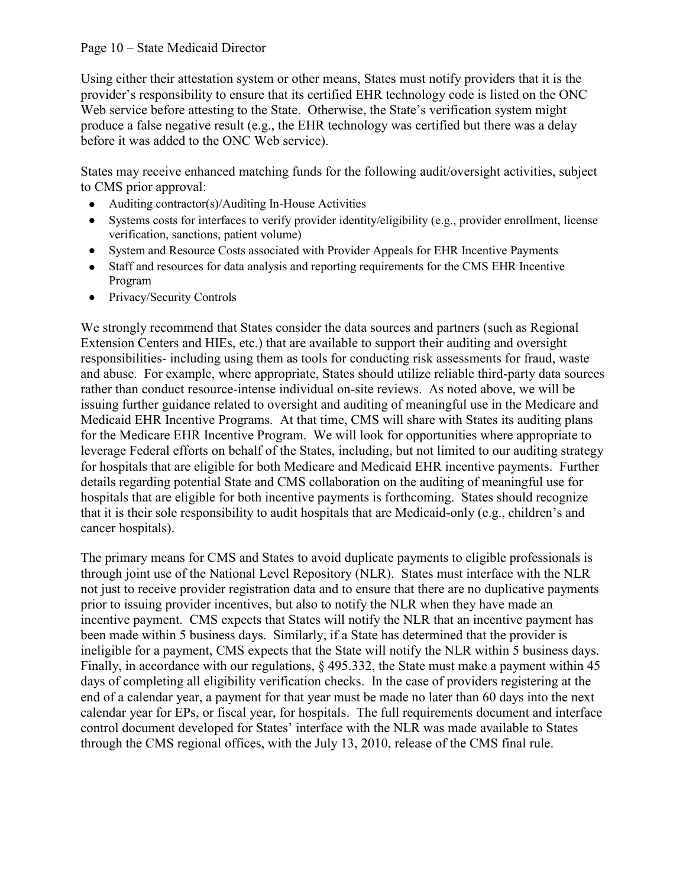#### Page 10 – State Medicaid Director

Using either their attestation system or other means, States must notify providers that it is the provider's responsibility to ensure that its certified EHR technology code is listed on the ONC Web service before attesting to the State. Otherwise, the State's verification system might produce a false negative result (e.g., the EHR technology was certified but there was a delay before it was added to the ONC Web service).

States may receive enhanced matching funds for the following audit/oversight activities, subject to CMS prior approval:

- Auditing contractor(s)/Auditing In-House Activities
- Systems costs for interfaces to verify provider identity/eligibility (e.g., provider enrollment, license  $\bullet$ verification, sanctions, patient volume)
- System and Resource Costs associated with Provider Appeals for EHR Incentive Payments  $\bullet$
- Staff and resources for data analysis and reporting requirements for the CMS EHR Incentive  $\bullet$ Program
- Privacy/Security Controls  $\bullet$

We strongly recommend that States consider the data sources and partners (such as Regional Extension Centers and HIEs, etc.) that are available to support their auditing and oversight responsibilities- including using them as tools for conducting risk assessments for fraud, waste and abuse. For example, where appropriate, States should utilize reliable third-party data sources rather than conduct resource-intense individual on-site reviews. As noted above, we will be issuing further guidance related to oversight and auditing of meaningful use in the Medicare and Medicaid EHR Incentive Programs. At that time, CMS will share with States its auditing plans for the Medicare EHR Incentive Program. We will look for opportunities where appropriate to leverage Federal efforts on behalf of the States, including, but not limited to our auditing strategy for hospitals that are eligible for both Medicare and Medicaid EHR incentive payments. Further details regarding potential State and CMS collaboration on the auditing of meaningful use for hospitals that are eligible for both incentive payments is forthcoming. States should recognize that it is their sole responsibility to audit hospitals that are Medicaid-only (e.g., children's and cancer hospitals).

The primary means for CMS and States to avoid duplicate payments to eligible professionals is through joint use of the National Level Repository (NLR). States must interface with the NLR not just to receive provider registration data and to ensure that there are no duplicative payments prior to issuing provider incentives, but also to notify the NLR when they have made an incentive payment. CMS expects that States will notify the NLR that an incentive payment has been made within 5 business days. Similarly, if a State has determined that the provider is ineligible for a payment, CMS expects that the State will notify the NLR within 5 business days. Finally, in accordance with our regulations, § 495.332, the State must make a payment within 45 days of completing all eligibility verification checks. In the case of providers registering at the end of a calendar year, a payment for that year must be made no later than 60 days into the next calendar year for EPs, or fiscal year, for hospitals. The full requirements document and interface control document developed for States' interface with the NLR was made available to States through the CMS regional offices, with the July 13, 2010, release of the CMS final rule.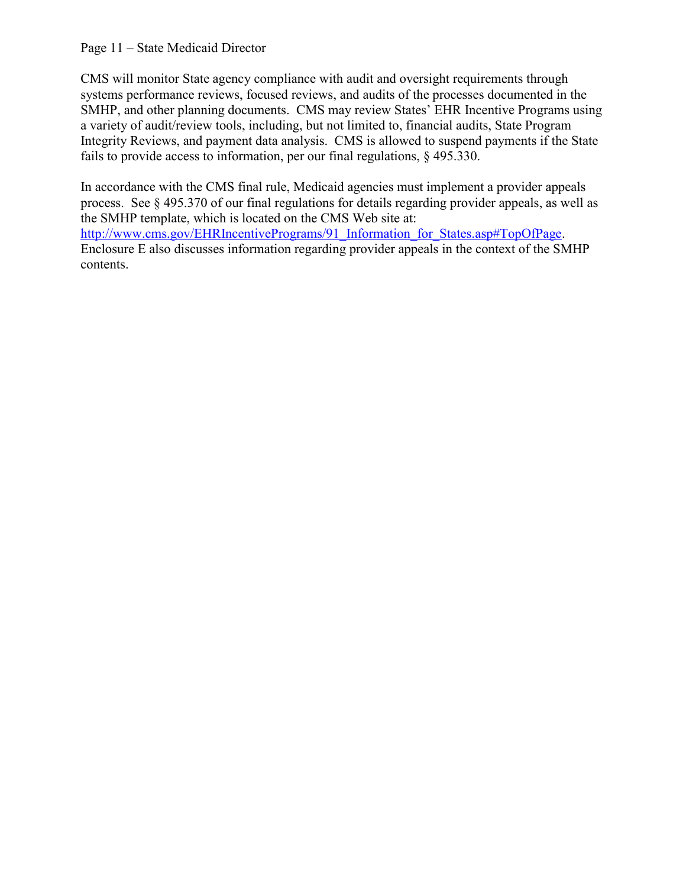#### Page 11 – State Medicaid Director

CMS will monitor State agency compliance with audit and oversight requirements through systems performance reviews, focused reviews, and audits of the processes documented in the SMHP, and other planning documents. CMS may review States' EHR Incentive Programs using a variety of audit/review tools, including, but not limited to, financial audits, State Program Integrity Reviews, and payment data analysis. CMS is allowed to suspend payments if the State fails to provide access to information, per our final regulations, § 495.330.

In accordance with the CMS final rule, Medicaid agencies must implement a provider appeals process. See § 495.370 of our final regulations for details regarding provider appeals, as well as the SMHP template, which is located on the CMS Web site at: [http://www.cms.gov/EHRIncentivePrograms/91\\_Information\\_for\\_States.asp#TopOfPage.](http://www.cms.gov/EHRIncentivePrograms/91_Information_for_States.asp#TopOfPage) Enclosure E also discusses information regarding provider appeals in the context of the SMHP contents.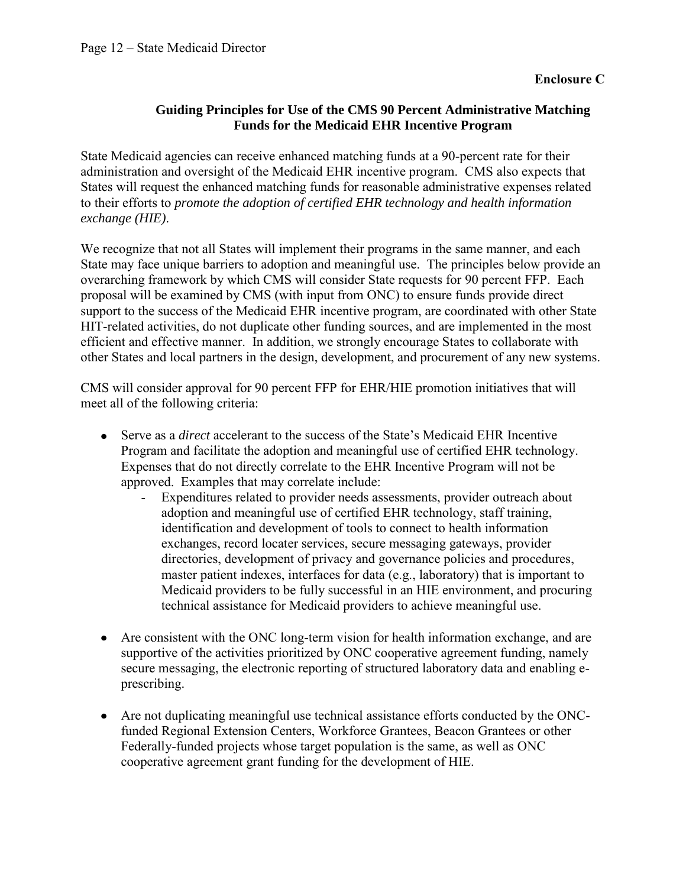## **Guiding Principles for Use of the CMS 90 Percent Administrative Matching Funds for the Medicaid EHR Incentive Program**

State Medicaid agencies can receive enhanced matching funds at a 90-percent rate for their administration and oversight of the Medicaid EHR incentive program. CMS also expects that States will request the enhanced matching funds for reasonable administrative expenses related to their efforts to *promote the adoption of certified EHR technology and health information exchange (HIE)*.

We recognize that not all States will implement their programs in the same manner, and each State may face unique barriers to adoption and meaningful use. The principles below provide an overarching framework by which CMS will consider State requests for 90 percent FFP. Each proposal will be examined by CMS (with input from ONC) to ensure funds provide direct support to the success of the Medicaid EHR incentive program, are coordinated with other State HIT-related activities, do not duplicate other funding sources, and are implemented in the most efficient and effective manner. In addition, we strongly encourage States to collaborate with other States and local partners in the design, development, and procurement of any new systems.

CMS will consider approval for 90 percent FFP for EHR/HIE promotion initiatives that will meet all of the following criteria:

- Serve as a *direct* accelerant to the success of the State's Medicaid EHR Incentive Program and facilitate the adoption and meaningful use of certified EHR technology. Expenses that do not directly correlate to the EHR Incentive Program will not be approved. Examples that may correlate include:
	- Expenditures related to provider needs assessments, provider outreach about adoption and meaningful use of certified EHR technology, staff training, identification and development of tools to connect to health information exchanges, record locater services, secure messaging gateways, provider directories, development of privacy and governance policies and procedures, master patient indexes, interfaces for data (e.g., laboratory) that is important to Medicaid providers to be fully successful in an HIE environment, and procuring technical assistance for Medicaid providers to achieve meaningful use.
- Are consistent with the ONC long-term vision for health information exchange, and are supportive of the activities prioritized by ONC cooperative agreement funding, namely secure messaging, the electronic reporting of structured laboratory data and enabling eprescribing.
- Are not duplicating meaningful use technical assistance efforts conducted by the ONCfunded Regional Extension Centers, Workforce Grantees, Beacon Grantees or other Federally-funded projects whose target population is the same, as well as ONC cooperative agreement grant funding for the development of HIE.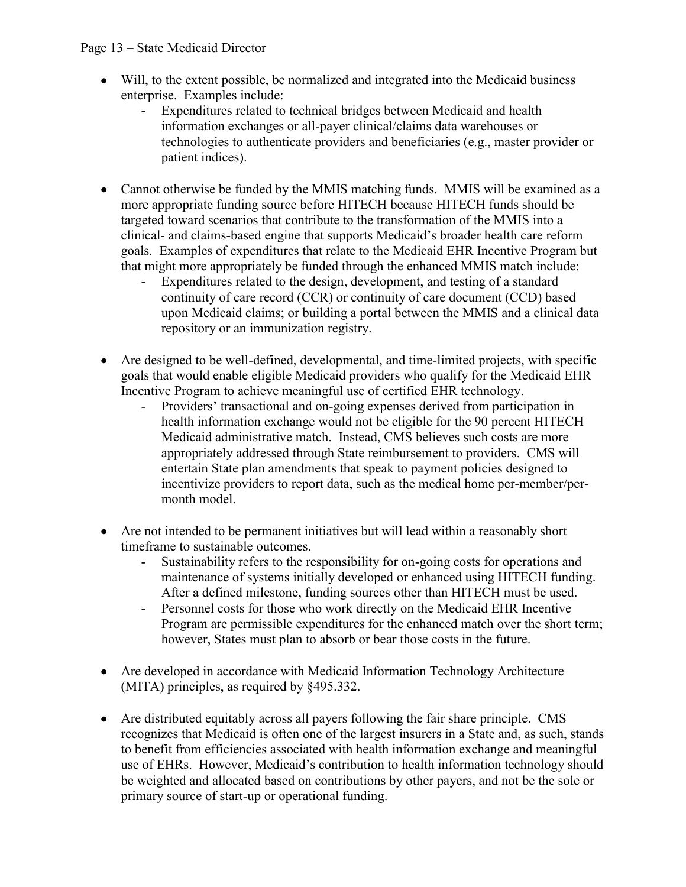#### Page 13 – State Medicaid Director

- Will, to the extent possible, be normalized and integrated into the Medicaid business enterprise. Examples include:
	- Expenditures related to technical bridges between Medicaid and health information exchanges or all-payer clinical/claims data warehouses or technologies to authenticate providers and beneficiaries (e.g., master provider or patient indices).
- Cannot otherwise be funded by the MMIS matching funds. MMIS will be examined as a more appropriate funding source before HITECH because HITECH funds should be targeted toward scenarios that contribute to the transformation of the MMIS into a clinical- and claims-based engine that supports Medicaid's broader health care reform goals. Examples of expenditures that relate to the Medicaid EHR Incentive Program but that might more appropriately be funded through the enhanced MMIS match include:
	- Expenditures related to the design, development, and testing of a standard continuity of care record (CCR) or continuity of care document (CCD) based upon Medicaid claims; or building a portal between the MMIS and a clinical data repository or an immunization registry.
- Are designed to be well-defined, developmental, and time-limited projects, with specific goals that would enable eligible Medicaid providers who qualify for the Medicaid EHR Incentive Program to achieve meaningful use of certified EHR technology.
	- Providers' transactional and on-going expenses derived from participation in health information exchange would not be eligible for the 90 percent HITECH Medicaid administrative match. Instead, CMS believes such costs are more appropriately addressed through State reimbursement to providers. CMS will entertain State plan amendments that speak to payment policies designed to incentivize providers to report data, such as the medical home per-member/permonth model.
- Are not intended to be permanent initiatives but will lead within a reasonably short timeframe to sustainable outcomes.
	- Sustainability refers to the responsibility for on-going costs for operations and maintenance of systems initially developed or enhanced using HITECH funding. After a defined milestone, funding sources other than HITECH must be used.
	- Personnel costs for those who work directly on the Medicaid EHR Incentive Program are permissible expenditures for the enhanced match over the short term; however, States must plan to absorb or bear those costs in the future.
- Are developed in accordance with Medicaid Information Technology Architecture (MITA) principles, as required by §495.332.
- Are distributed equitably across all payers following the fair share principle. CMS recognizes that Medicaid is often one of the largest insurers in a State and, as such, stands to benefit from efficiencies associated with health information exchange and meaningful use of EHRs. However, Medicaid's contribution to health information technology should be weighted and allocated based on contributions by other payers, and not be the sole or primary source of start-up or operational funding.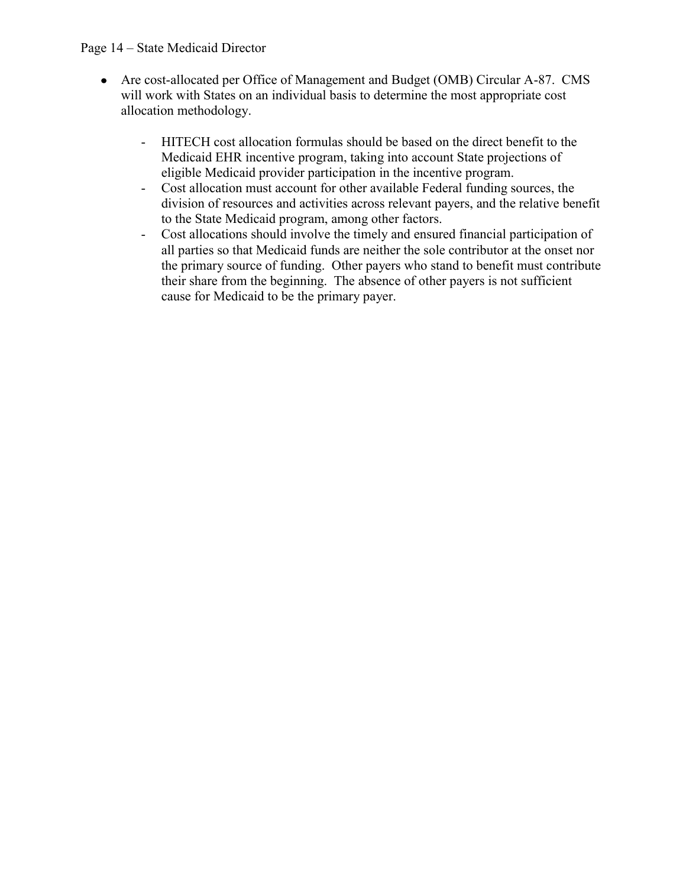#### Page 14 – State Medicaid Director

- Are cost-allocated per Office of Management and Budget (OMB) Circular A-87. CMS will work with States on an individual basis to determine the most appropriate cost allocation methodology.
	- HITECH cost allocation formulas should be based on the direct benefit to the Medicaid EHR incentive program, taking into account State projections of eligible Medicaid provider participation in the incentive program.
	- Cost allocation must account for other available Federal funding sources, the division of resources and activities across relevant payers, and the relative benefit to the State Medicaid program, among other factors.
	- Cost allocations should involve the timely and ensured financial participation of all parties so that Medicaid funds are neither the sole contributor at the onset nor the primary source of funding. Other payers who stand to benefit must contribute their share from the beginning. The absence of other payers is not sufficient cause for Medicaid to be the primary payer.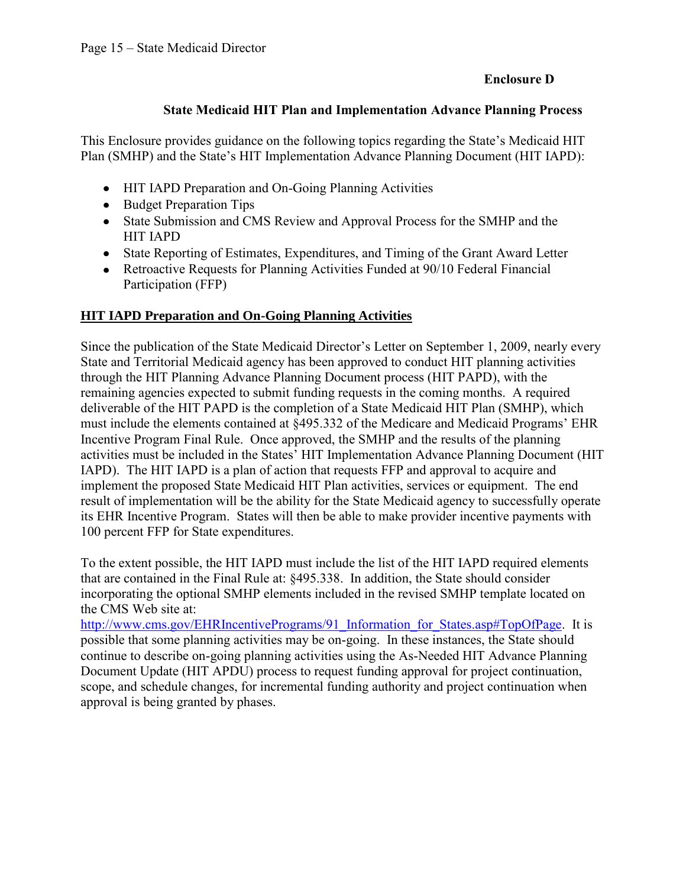## **Enclosure D**

### **State Medicaid HIT Plan and Implementation Advance Planning Process**

This Enclosure provides guidance on the following topics regarding the State's Medicaid HIT Plan (SMHP) and the State's HIT Implementation Advance Planning Document (HIT IAPD):

- HIT IAPD Preparation and On-Going Planning Activities
- Budget Preparation Tips
- State Submission and CMS Review and Approval Process for the SMHP and the HIT IAPD
- State Reporting of Estimates, Expenditures, and Timing of the Grant Award Letter
- Retroactive Requests for Planning Activities Funded at 90/10 Federal Financial Participation (FFP)

### **HIT IAPD Preparation and On-Going Planning Activities**

Since the publication of the State Medicaid Director's Letter on September 1, 2009, nearly every State and Territorial Medicaid agency has been approved to conduct HIT planning activities through the HIT Planning Advance Planning Document process (HIT PAPD), with the remaining agencies expected to submit funding requests in the coming months. A required deliverable of the HIT PAPD is the completion of a State Medicaid HIT Plan (SMHP), which must include the elements contained at §495.332 of the Medicare and Medicaid Programs' EHR Incentive Program Final Rule. Once approved, the SMHP and the results of the planning activities must be included in the States' HIT Implementation Advance Planning Document (HIT IAPD). The HIT IAPD is a plan of action that requests FFP and approval to acquire and implement the proposed State Medicaid HIT Plan activities, services or equipment. The end result of implementation will be the ability for the State Medicaid agency to successfully operate its EHR Incentive Program. States will then be able to make provider incentive payments with 100 percent FFP for State expenditures.

To the extent possible, the HIT IAPD must include the list of the HIT IAPD required elements that are contained in the Final Rule at: §495.338. In addition, the State should consider incorporating the optional SMHP elements included in the revised SMHP template located on the CMS Web site at:

[http://www.cms.gov/EHRIncentivePrograms/91\\_Information\\_for\\_States.asp#TopOfPage](http://www.cms.gov/EHRIncentivePrograms/91_Information_for_States.asp#TopOfPage). It is possible that some planning activities may be on-going. In these instances, the State should continue to describe on-going planning activities using the As-Needed HIT Advance Planning Document Update (HIT APDU) process to request funding approval for project continuation, scope, and schedule changes, for incremental funding authority and project continuation when approval is being granted by phases.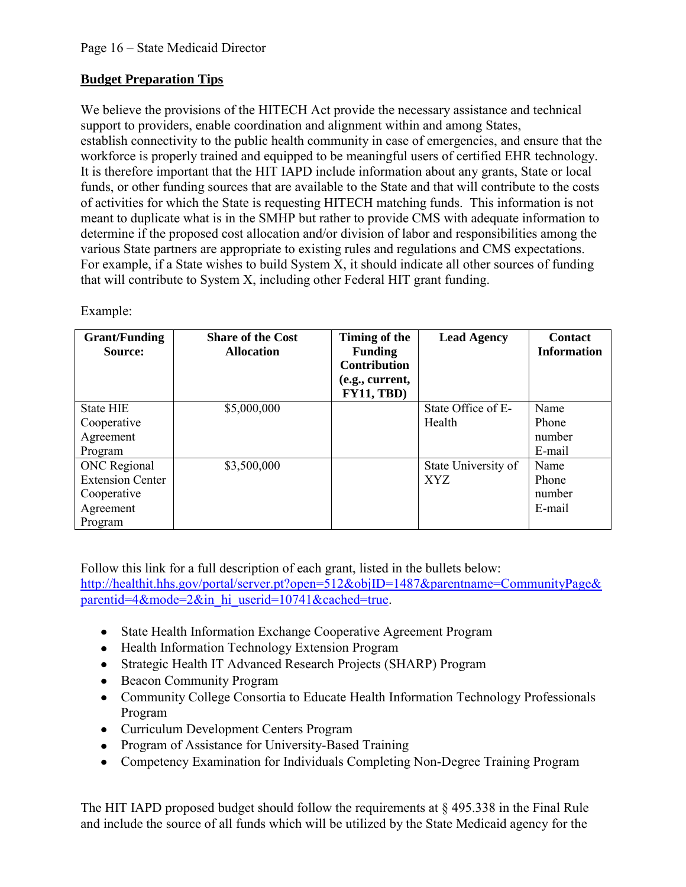# **Budget Preparation Tips**

We believe the provisions of the HITECH Act provide the necessary assistance and technical support to providers, enable coordination and alignment within and among States, establish connectivity to the public health community in case of emergencies, and ensure that the workforce is properly trained and equipped to be meaningful users of certified EHR technology. It is therefore important that the HIT IAPD include information about any grants, State or local funds, or other funding sources that are available to the State and that will contribute to the costs of activities for which the State is requesting HITECH matching funds. This information is not meant to duplicate what is in the SMHP but rather to provide CMS with adequate information to determine if the proposed cost allocation and/or division of labor and responsibilities among the various State partners are appropriate to existing rules and regulations and CMS expectations. For example, if a State wishes to build System X, it should indicate all other sources of funding that will contribute to System X, including other Federal HIT grant funding.

Example:

| <b>Grant/Funding</b><br>Source: | <b>Share of the Cost</b><br><b>Allocation</b> | Timing of the<br><b>Funding</b><br><b>Contribution</b><br>(e.g., current,<br><b>FY11, TBD)</b> | <b>Lead Agency</b>  | <b>Contact</b><br><b>Information</b> |
|---------------------------------|-----------------------------------------------|------------------------------------------------------------------------------------------------|---------------------|--------------------------------------|
| <b>State HIE</b>                | \$5,000,000                                   |                                                                                                | State Office of E-  | Name                                 |
| Cooperative                     |                                               |                                                                                                | Health              | Phone                                |
| Agreement                       |                                               |                                                                                                |                     | number                               |
| Program                         |                                               |                                                                                                |                     | E-mail                               |
| ONC Regional                    | \$3,500,000                                   |                                                                                                | State University of | Name                                 |
| <b>Extension Center</b>         |                                               |                                                                                                | XYZ                 | Phone                                |
| Cooperative                     |                                               |                                                                                                |                     | number                               |
| Agreement                       |                                               |                                                                                                |                     | E-mail                               |
| Program                         |                                               |                                                                                                |                     |                                      |

Follow this link for a full description of each grant, listed in the bullets below: [http://healthit.hhs.gov/portal/server.pt?open=512&objID=1487&parentname=CommunityPage&](http://healthit.hhs.gov/portal/server.pt?open=512&objID=1487&parentname=CommunityPage&parentid=4&mode=2&in_hi_userid=10741&cached=true) [parentid=4&mode=2&in\\_hi\\_userid=10741&cached=true.](http://healthit.hhs.gov/portal/server.pt?open=512&objID=1487&parentname=CommunityPage&parentid=4&mode=2&in_hi_userid=10741&cached=true)

- [State Health Information Exchange Cooperative Agreement Program](http://healthit.hhs.gov/portal/server.pt?open=512&objID=1488&parentname=CommunityPage&parentid=58&mode=2&in_hi_userid=11113&cached=true)
- [Health Information Technology Extension Program](http://healthit.hhs.gov/portal/server.pt?open=512&objID=1495&parentname=CommunityPage&parentid=58&mode=2&in_hi_userid=11113&cached=true)
- [Strategic Health IT Advanced Research Projects \(SHARP\) Program](http://healthit.hhs.gov/portal/server.pt?open=512&objID=1806&parentname=CommunityPage&parentid=17&mode=2&in_hi_userid=11673&cached=true)
- [Beacon Community Program](http://healthit.hhs.gov/programs/beacon)
- [Community College Consortia to Educate Health Information Technology Professionals](http://healthit.hhs.gov/portal/server.pt?open=512&objID=1804&parentname=CommunityPage&parentid=14&mode=2&in_hi_userid=11673&cached=true)  [Program](http://healthit.hhs.gov/portal/server.pt?open=512&objID=1804&parentname=CommunityPage&parentid=14&mode=2&in_hi_userid=11673&cached=true)
- [Curriculum Development Centers Program](http://healthit.hhs.gov/portal/server.pt?open=512&objID=1807&parentname=CommunityPage&parentid=13&mode=2&in_hi_userid=11673&cached=true)
- [Program of Assistance for University-Based Training](http://healthit.hhs.gov/portal/server.pt?open=512&objID=1808&parentname=CommunityPage&parentid=15&mode=2&in_hi_userid=11673&cached=true)
- [Competency Examination for Individuals Completing Non-Degree Training Program](http://healthit.hhs.gov/portal/server.pt?open=512&objID=1809&parentname=CommunityPage&parentid=16&mode=2&in_hi_userid=11673&cached=true)

The HIT IAPD proposed budget should follow the requirements at  $\S$  495.338 in the Final Rule and include the source of all funds which will be utilized by the State Medicaid agency for the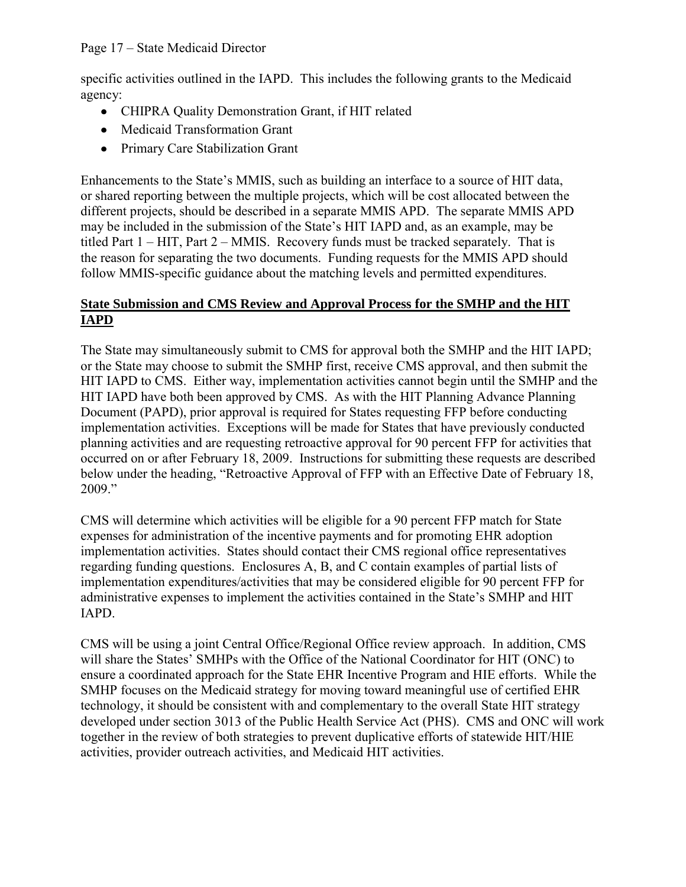specific activities outlined in the IAPD. This includes the following grants to the Medicaid agency:

- CHIPRA Quality Demonstration Grant, if HIT related
- Medicaid Transformation Grant
- Primary Care Stabilization Grant

Enhancements to the State's MMIS, such as building an interface to a source of HIT data, or shared reporting between the multiple projects, which will be cost allocated between the different projects, should be described in a separate MMIS APD. The separate MMIS APD may be included in the submission of the State's HIT IAPD and, as an example, may be titled Part 1 – HIT, Part 2 – MMIS. Recovery funds must be tracked separately. That is the reason for separating the two documents. Funding requests for the MMIS APD should follow MMIS-specific guidance about the matching levels and permitted expenditures.

## **State Submission and CMS Review and Approval Process for the SMHP and the HIT IAPD**

The State may simultaneously submit to CMS for approval both the SMHP and the HIT IAPD; or the State may choose to submit the SMHP first, receive CMS approval, and then submit the HIT IAPD to CMS. Either way, implementation activities cannot begin until the SMHP and the HIT IAPD have both been approved by CMS. As with the HIT Planning Advance Planning Document (PAPD), prior approval is required for States requesting FFP before conducting implementation activities. Exceptions will be made for States that have previously conducted planning activities and are requesting retroactive approval for 90 percent FFP for activities that occurred on or after February 18, 2009. Instructions for submitting these requests are described below under the heading, "Retroactive Approval of FFP with an Effective Date of February 18, 2009."

CMS will determine which activities will be eligible for a 90 percent FFP match for State expenses for administration of the incentive payments and for promoting EHR adoption implementation activities. States should contact their CMS regional office representatives regarding funding questions. Enclosures A, B, and C contain examples of partial lists of implementation expenditures/activities that may be considered eligible for 90 percent FFP for administrative expenses to implement the activities contained in the State's SMHP and HIT IAPD.

CMS will be using a joint Central Office/Regional Office review approach. In addition, CMS will share the States' SMHPs with the Office of the National Coordinator for HIT (ONC) to ensure a coordinated approach for the State EHR Incentive Program and HIE efforts. While the SMHP focuses on the Medicaid strategy for moving toward meaningful use of certified EHR technology, it should be consistent with and complementary to the overall State HIT strategy developed under section 3013 of the Public Health Service Act (PHS). CMS and ONC will work together in the review of both strategies to prevent duplicative efforts of statewide HIT/HIE activities, provider outreach activities, and Medicaid HIT activities.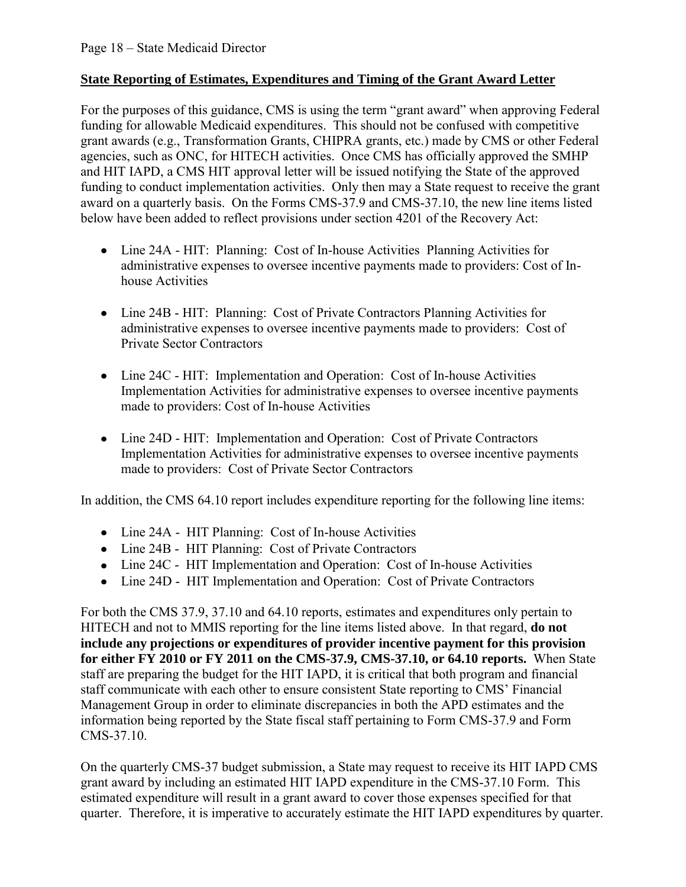## **State Reporting of Estimates, Expenditures and Timing of the Grant Award Letter**

For the purposes of this guidance, CMS is using the term "grant award" when approving Federal funding for allowable Medicaid expenditures. This should not be confused with competitive grant awards (e.g., Transformation Grants, CHIPRA grants, etc.) made by CMS or other Federal agencies, such as ONC, for HITECH activities. Once CMS has officially approved the SMHP and HIT IAPD, a CMS HIT approval letter will be issued notifying the State of the approved funding to conduct implementation activities. Only then may a State request to receive the grant award on a quarterly basis. On the Forms CMS-37.9 and CMS-37.10, the new line items listed below have been added to reflect provisions under section 4201 of the Recovery Act:

- Line 24A HIT: Planning: Cost of In-house Activities Planning Activities for administrative expenses to oversee incentive payments made to providers: Cost of Inhouse Activities
- Line 24B HIT: Planning: Cost of Private Contractors Planning Activities for administrative expenses to oversee incentive payments made to providers: Cost of Private Sector Contractors
- Line 24C HIT: Implementation and Operation: Cost of In-house Activities Implementation Activities for administrative expenses to oversee incentive payments made to providers: Cost of In-house Activities
- Line 24D HIT: Implementation and Operation: Cost of Private Contractors Implementation Activities for administrative expenses to oversee incentive payments made to providers: Cost of Private Sector Contractors

In addition, the CMS 64.10 report includes expenditure reporting for the following line items:

- Line 24A HIT Planning: Cost of In-house Activities
- Line 24B HIT Planning: Cost of Private Contractors
- Line 24C HIT Implementation and Operation: Cost of In-house Activities
- Line 24D HIT Implementation and Operation: Cost of Private Contractors

For both the CMS 37.9, 37.10 and 64.10 reports, estimates and expenditures only pertain to HITECH and not to MMIS reporting for the line items listed above. In that regard, **do not include any projections or expenditures of provider incentive payment for this provision for either FY 2010 or FY 2011 on the CMS-37.9, CMS-37.10, or 64.10 reports.** When State staff are preparing the budget for the HIT IAPD, it is critical that both program and financial staff communicate with each other to ensure consistent State reporting to CMS' Financial Management Group in order to eliminate discrepancies in both the APD estimates and the information being reported by the State fiscal staff pertaining to Form CMS-37.9 and Form CMS-37.10.

On the quarterly CMS-37 budget submission, a State may request to receive its HIT IAPD CMS grant award by including an estimated HIT IAPD expenditure in the CMS-37.10 Form. This estimated expenditure will result in a grant award to cover those expenses specified for that quarter. Therefore, it is imperative to accurately estimate the HIT IAPD expenditures by quarter.